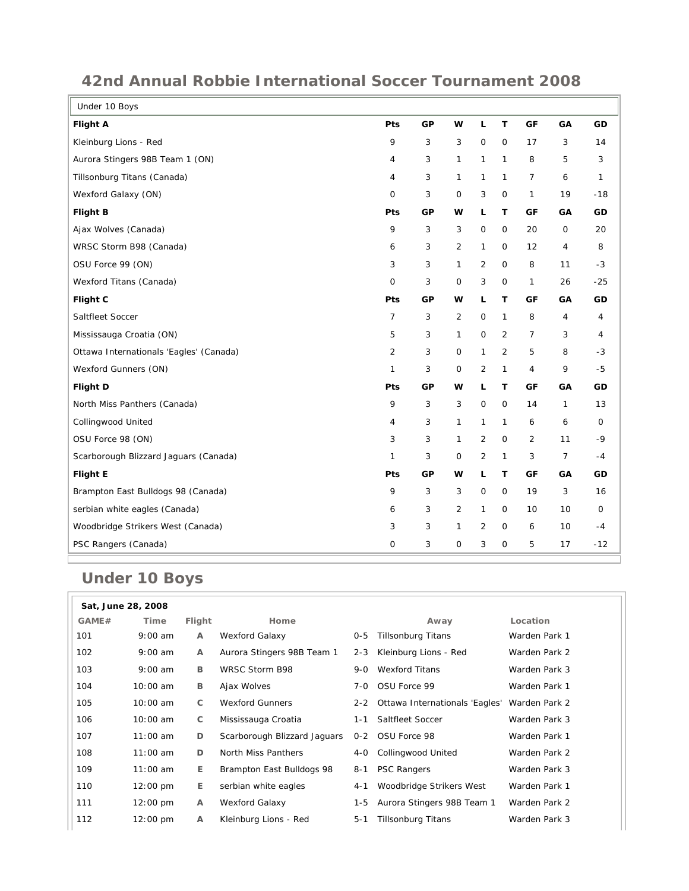| Under 10 Boys                           |                |    |              |                     |              |                |                |       |
|-----------------------------------------|----------------|----|--------------|---------------------|--------------|----------------|----------------|-------|
| <b>Flight A</b>                         | Pts            | GP | W            | $\mathsf L$         | T            | GF             | GA             | GD    |
| Kleinburg Lions - Red                   | 9              | 3  | 3            | $\mathbf 0$         | $\mathbf 0$  | 17             | 3              | 14    |
| Aurora Stingers 98B Team 1 (ON)         | 4              | 3  | 1            | $\mathbf{1}$        | $\mathbf{1}$ | 8              | 5              | 3     |
| Tillsonburg Titans (Canada)             | 4              | 3  | 1            | $\mathbf{1}$        | $\mathbf{1}$ | $\overline{7}$ | 6              | 1     |
| Wexford Galaxy (ON)                     | 0              | 3  | $\mathsf{O}$ | 3                   | $\mathsf O$  | $\mathbf{1}$   | 19             | $-18$ |
| <b>Flight B</b>                         | Pts            | GР | w            | L                   | Τ            | GF             | GA             | GD    |
| Ajax Wolves (Canada)                    | 9              | 3  | 3            | $\mathbf 0$         | $\mathsf O$  | 20             | 0              | 20    |
| WRSC Storm B98 (Canada)                 | 6              | 3  | 2            | $\mathbf{1}$        | $\mathbf 0$  | 12             | 4              | 8     |
| OSU Force 99 (ON)                       | 3              | 3  | $\mathbf{1}$ | 2                   | $\mathbf 0$  | 8              | 11             | $-3$  |
| Wexford Titans (Canada)                 | 0              | 3  | $\mathbf 0$  | 3                   | $\mathbf 0$  | $\mathbf{1}$   | 26             | $-25$ |
| Flight C                                | Pts            | GP | w            | L                   | T            | GF             | GA             | GD    |
| Saltfleet Soccer                        | 7              | 3  | 2            | $\mathsf{O}\xspace$ | $\mathbf{1}$ | 8              | 4              | 4     |
| Mississauga Croatia (ON)                | 5              | 3  | $\mathbf{1}$ | $\mathsf O$         | 2            | $\overline{7}$ | 3              | 4     |
| Ottawa Internationals 'Eagles' (Canada) | $\overline{2}$ | 3  | 0            | $\mathbf{1}$        | 2            | 5              | 8              | $-3$  |
| Wexford Gunners (ON)                    | 1              | 3  | $\mathbf 0$  | 2                   | $\mathbf{1}$ | $\overline{4}$ | 9              | $-5$  |
| <b>Flight D</b>                         | Pts            | GP | w            | L                   | T            | GF             | GA             | GD    |
| North Miss Panthers (Canada)            | 9              | 3  | 3            | 0                   | $\mathsf O$  | 14             | $\mathbf{1}$   | 13    |
| <b>Collingwood United</b>               | 4              | 3  | 1            | $\mathbf{1}$        | $\mathbf{1}$ | 6              | 6              | 0     |
| OSU Force 98 (ON)                       | 3              | 3  | 1            | 2                   | $\mathbf 0$  | 2              | 11             | $-9$  |
| Scarborough Blizzard Jaguars (Canada)   | 1              | 3  | $\mathsf O$  | $\overline{2}$      | $\mathbf{1}$ | 3              | $\overline{7}$ | $-4$  |
| <b>Flight E</b>                         | Pts            | GР | w            | L                   | T            | GF             | GA             | GD    |
| Brampton East Bulldogs 98 (Canada)      | 9              | 3  | 3            | $\mathsf O$         | $\mathsf O$  | 19             | 3              | 16    |
| serbian white eagles (Canada)           | 6              | 3  | 2            | 1                   | $\mathsf O$  | 10             | 10             | 0     |
| Woodbridge Strikers West (Canada)       | 3              | 3  | 1            | $\overline{2}$      | $\mathbf 0$  | 6              | 10             | -4    |
| PSC Rangers (Canada)                    | 0              | 3  | 0            | 3                   | $\mathbf 0$  | 5              | 17             | $-12$ |

## **42nd Annual Robbie International Soccer Tournament 2008**

## **Under 10 Boys**

| Sat, June 28, 2008 |                    |              |                              |         |                                    |               |  |  |
|--------------------|--------------------|--------------|------------------------------|---------|------------------------------------|---------------|--|--|
| GAME#              | Time               | Flight       | Home                         |         | Away                               | Location      |  |  |
| 101                | $9:00$ am          | A            | Wexford Galaxy               | $0 - 5$ | <b>Tillsonburg Titans</b>          | Warden Park 1 |  |  |
| 102                | $9:00$ am          | $\mathsf{A}$ | Aurora Stingers 98B Team 1   | $2 - 3$ | Kleinburg Lions - Red              | Warden Park 2 |  |  |
| 103                | $9:00$ am          | B            | WRSC Storm B98               | 9-0     | <b>Wexford Titans</b>              | Warden Park 3 |  |  |
| 104                | $10:00$ am         | B            | Ajax Wolves                  | 7-0     | OSU Force 99                       | Warden Park 1 |  |  |
| 105                | $10:00$ am         | C            | <b>Wexford Gunners</b>       |         | 2-2 Ottawa Internationals 'Eagles' | Warden Park 2 |  |  |
| 106                | $10:00$ am         | C            | Mississauga Croatia          | 1-1     | Saltfleet Soccer                   | Warden Park 3 |  |  |
| 107                | $11:00$ am         | D            | Scarborough Blizzard Jaguars |         | 0-2 OSU Force 98                   | Warden Park 1 |  |  |
| 108                | $11:00$ am         | D            | North Miss Panthers          | 4-0     | <b>Collingwood United</b>          | Warden Park 2 |  |  |
| 109                | $11:00$ am         | Е            | Brampton East Bulldogs 98    | 8-1     | <b>PSC Rangers</b>                 | Warden Park 3 |  |  |
| 110                | $12:00 \text{ pm}$ | E.           | serbian white eagles         | $4 - 1$ | Woodbridge Strikers West           | Warden Park 1 |  |  |
| 111                | $12:00 \text{ pm}$ | A            | Wexford Galaxy               | 1-5     | Aurora Stingers 98B Team 1         | Warden Park 2 |  |  |
| 112                | $12:00 \text{ pm}$ | A            | Kleinburg Lions - Red        | $5 - 1$ | <b>Tillsonburg Titans</b>          | Warden Park 3 |  |  |